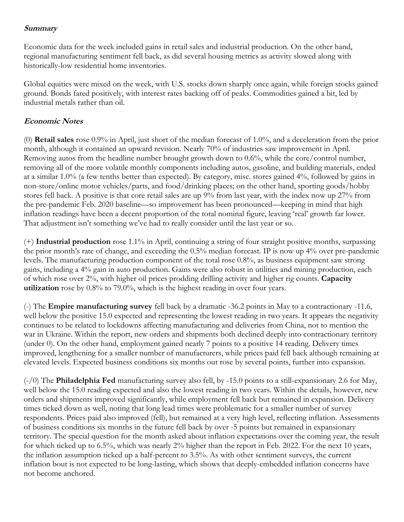## **Summary**

Economic data for the week included gains in retail sales and industrial production. On the other hand, regional manufacturing sentiment fell back, as did several housing metrics as activity slowed along with historically-low residential home inventories.

Global equities were mixed on the week, with U.S. stocks down sharply once again, while foreign stocks gained ground. Bonds fared positively, with interest rates backing off of peaks. Commodities gained a bit, led by industrial metals rather than oil.

# **Economic Notes**

(0) **Retail sales** rose 0.9% in April, just short of the median forecast of 1.0%, and a deceleration from the prior month, although it contained an upward revision. Nearly 70% of industries saw improvement in April. Removing autos from the headline number brought growth down to 0.6%, while the core/control number, removing all of the more volatile monthly components including autos, gasoline, and building materials, ended at a similar 1.0% (a few tenths better than expected). By category, misc. stores gained 4%, followed by gains in non-store/online motor vehicles/parts, and food/drinking places; on the other hand, sporting goods/hobby stores fell back. A positive is that core retail sales are up 9% from last year, with the index now up 27% from the pre-pandemic Feb. 2020 baseline—so improvement has been pronounced—keeping in mind that high inflation readings have been a decent proportion of the total nominal figure, leaving 'real' growth far lower. That adjustment isn't something we've had to really consider until the last year or so.

(+) **Industrial production** rose 1.1% in April, continuing a string of four straight positive months, surpassing the prior month's rate of change, and exceeding the 0.5% median forecast. IP is now up 4% over pre-pandemic levels. The manufacturing production component of the total rose 0.8%, as business equipment saw strong gains, including a 4% gain in auto production. Gains were also robust in utilities and mining production, each of which rose over 2%, with higher oil prices prodding drilling activity and higher rig counts. **Capacity utilization** rose by 0.8% to 79.0%, which is the highest reading in over four years.

(-) The **Empire manufacturing survey** fell back by a dramatic -36.2 points in May to a contractionary -11.6, well below the positive 15.0 expected and representing the lowest reading in two years. It appears the negativity continues to be related to lockdowns affecting manufacturing and deliveries from China, not to mention the war in Ukraine. Within the report, new orders and shipments both declined deeply into contractionary territory (under 0). On the other hand, employment gained nearly 7 points to a positive 14 reading. Delivery times improved, lengthening for a smaller number of manufacturers, while prices paid fell back although remaining at elevated levels. Expected business conditions six months out rose by several points, further into expansion.

(-/0) The **Philadelphia Fed** manufacturing survey also fell, by -15.0 points to a still-expansionary 2.6 for May, well below the 15.0 reading expected and also the lowest reading in two years. Within the details, however, new orders and shipments improved significantly, while employment fell back but remained in expansion. Delivery times ticked down as well, noting that long lead times were problematic for a smaller number of survey respondents. Prices paid also improved (fell), but remained at a very high level, reflecting inflation. Assessments of business conditions six months in the future fell back by over -5 points but remained in expansionary territory. The special question for the month asked about inflation expectations over the coming year, the result for which ticked up to 6.5%, which was nearly 2% higher than the report in Feb. 2022. For the next 10 years, the inflation assumption ticked up a half-percent to 3.5%. As with other sentiment surveys, the current inflation bout is not expected to be long-lasting, which shows that deeply-embedded inflation concerns have not become anchored.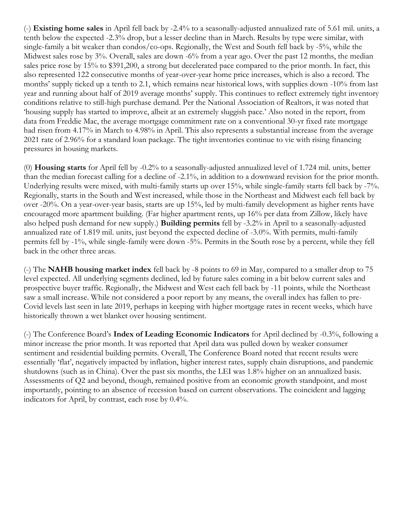(-) **Existing home sales** in April fell back by -2.4% to a seasonally-adjusted annualized rate of 5.61 mil. units, a tenth below the expected -2.3% drop, but a lesser decline than in March. Results by type were similar, with single-family a bit weaker than condos/co-ops. Regionally, the West and South fell back by -5%, while the Midwest sales rose by 3%. Overall, sales are down -6% from a year ago. Over the past 12 months, the median sales price rose by 15% to \$391,200, a strong but decelerated pace compared to the prior month. In fact, this also represented 122 consecutive months of year-over-year home price increases, which is also a record. The months' supply ticked up a tenth to 2.1, which remains near historical lows, with supplies down -10% from last year and running about half of 2019 average months' supply. This continues to reflect extremely tight inventory conditions relative to still-high purchase demand. Per the National Association of Realtors, it was noted that 'housing supply has started to improve, albeit at an extremely sluggish pace.' Also noted in the report, from data from Freddie Mac, the average mortgage commitment rate on a conventional 30-yr fixed rate mortgage had risen from 4.17% in March to 4.98% in April. This also represents a substantial increase from the average 2021 rate of 2.96% for a standard loan package. The tight inventories continue to vie with rising financing pressures in housing markets.

(0) **Housing starts** for April fell by -0.2% to a seasonally-adjusted annualized level of 1.724 mil. units, better than the median forecast calling for a decline of -2.1%, in addition to a downward revision for the prior month. Underlying results were mixed, with multi-family starts up over 15%, while single-family starts fell back by -7%. Regionally, starts in the South and West increased, while those in the Northeast and Midwest each fell back by over -20%. On a year-over-year basis, starts are up 15%, led by multi-family development as higher rents have encouraged more apartment building. (Far higher apartment rents, up 16% per data from Zillow, likely have also helped push demand for new supply.) **Building permits** fell by -3.2% in April to a seasonally-adjusted annualized rate of 1.819 mil. units, just beyond the expected decline of -3.0%. With permits, multi-family permits fell by -1%, while single-family were down -5%. Permits in the South rose by a percent, while they fell back in the other three areas.

(-) The **NAHB housing market index** fell back by -8 points to 69 in May, compared to a smaller drop to 75 level expected. All underlying segments declined, led by future sales coming in a bit below current sales and prospective buyer traffic. Regionally, the Midwest and West each fell back by -11 points, while the Northeast saw a small increase. While not considered a poor report by any means, the overall index has fallen to pre-Covid levels last seen in late 2019, perhaps in keeping with higher mortgage rates in recent weeks, which have historically thrown a wet blanket over housing sentiment.

(-) The Conference Board's **Index of Leading Economic Indicators** for April declined by -0.3%, following a minor increase the prior month. It was reported that April data was pulled down by weaker consumer sentiment and residential building permits. Overall, The Conference Board noted that recent results were essentially 'flat', negatively impacted by inflation, higher interest rates, supply chain disruptions, and pandemic shutdowns (such as in China). Over the past six months, the LEI was 1.8% higher on an annualized basis. Assessments of Q2 and beyond, though, remained positive from an economic growth standpoint, and most importantly, pointing to an absence of recession based on current observations. The coincident and lagging indicators for April, by contrast, each rose by 0.4%.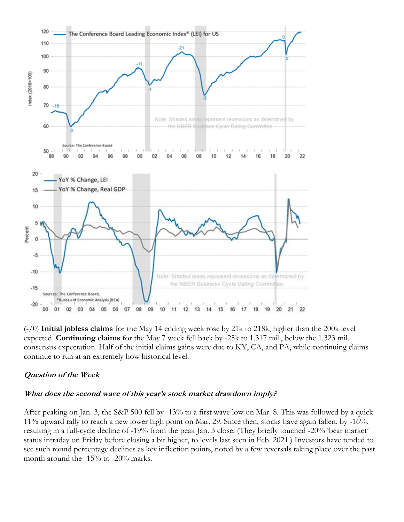

(-/0) **Initial jobless claims** for the May 14 ending week rose by 21k to 218k, higher than the 200k level expected. **Continuing claims** for the May 7 week fell back by -25k to 1.317 mil., below the 1.323 mil. consensus expectation. Half of the initial claims gains were due to KY, CA, and PA, while continuing claims continue to run at an extremely how historical level.

#### **Question of the Week**

#### **What does the second wave of this year's stock market drawdown imply?**

After peaking on Jan. 3, the S&P 500 fell by -13% to a first wave low on Mar. 8. This was followed by a quick 11% upward rally to reach a new lower high point on Mar. 29. Since then, stocks have again fallen, by -16%, resulting in a full-cycle decline of -19% from the peak Jan. 3 close. (They briefly touched -20% 'bear market' status intraday on Friday before closing a bit higher, to levels last seen in Feb. 2021.) Investors have tended to see such round percentage declines as key inflection points, noted by a few reversals taking place over the past month around the -15% to -20% marks.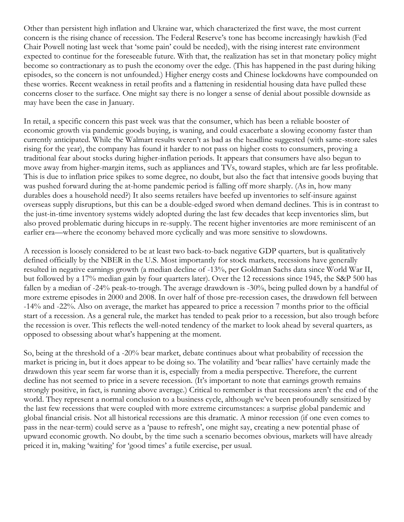Other than persistent high inflation and Ukraine war, which characterized the first wave, the most current concern is the rising chance of recession. The Federal Reserve's tone has become increasingly hawkish (Fed Chair Powell noting last week that 'some pain' could be needed), with the rising interest rate environment expected to continue for the foreseeable future. With that, the realization has set in that monetary policy might become so contractionary as to push the economy over the edge. (This has happened in the past during hiking episodes, so the concern is not unfounded.) Higher energy costs and Chinese lockdowns have compounded on these worries. Recent weakness in retail profits and a flattening in residential housing data have pulled these concerns closer to the surface. One might say there is no longer a sense of denial about possible downside as may have been the case in January.

In retail, a specific concern this past week was that the consumer, which has been a reliable booster of economic growth via pandemic goods buying, is waning, and could exacerbate a slowing economy faster than currently anticipated. While the Walmart results weren't as bad as the headline suggested (with same-store sales rising for the year), the company has found it harder to not pass on higher costs to consumers, proving a traditional fear about stocks during higher-inflation periods. It appears that consumers have also begun to move away from higher-margin items, such as appliances and TVs, toward staples, which are far less profitable. This is due to inflation price spikes to some degree, no doubt, but also the fact that intensive goods buying that was pushed forward during the at-home pandemic period is falling off more sharply. (As in, how many durables does a household need?) It also seems retailers have beefed up inventories to self-insure against overseas supply disruptions, but this can be a double-edged sword when demand declines. This is in contrast to the just-in-time inventory systems widely adopted during the last few decades that keep inventories slim, but also proved problematic during hiccups in re-supply. The recent higher inventories are more reminiscent of an earlier era—where the economy behaved more cyclically and was more sensitive to slowdowns.

A recession is loosely considered to be at least two back-to-back negative GDP quarters, but is qualitatively defined officially by the NBER in the U.S. Most importantly for stock markets, recessions have generally resulted in negative earnings growth (a median decline of -13%, per Goldman Sachs data since World War II, but followed by a 17% median gain by four quarters later). Over the 12 recessions since 1945, the S&P 500 has fallen by a median of -24% peak-to-trough. The average drawdown is -30%, being pulled down by a handful of more extreme episodes in 2000 and 2008. In over half of those pre-recession cases, the drawdown fell between -14% and -22%. Also on average, the market has appeared to price a recession 7 months prior to the official start of a recession. As a general rule, the market has tended to peak prior to a recession, but also trough before the recession is over. This reflects the well-noted tendency of the market to look ahead by several quarters, as opposed to obsessing about what's happening at the moment.

So, being at the threshold of a -20% bear market, debate continues about what probability of recession the market is pricing in, but it does appear to be doing so. The volatility and 'bear rallies' have certainly made the drawdown this year seem far worse than it is, especially from a media perspective. Therefore, the current decline has not seemed to price in a severe recession. (It's important to note that earnings growth remains strongly positive, in fact, is running above average.) Critical to remember is that recessions aren't the end of the world. They represent a normal conclusion to a business cycle, although we've been profoundly sensitized by the last few recessions that were coupled with more extreme circumstances: a surprise global pandemic and global financial crisis. Not all historical recessions are this dramatic. A minor recession (if one even comes to pass in the near-term) could serve as a 'pause to refresh', one might say, creating a new potential phase of upward economic growth. No doubt, by the time such a scenario becomes obvious, markets will have already priced it in, making 'waiting' for 'good times' a futile exercise, per usual.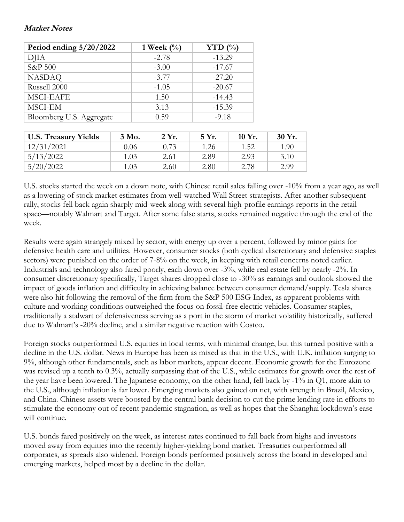### **Market Notes**

| Period ending $5/20/2022$ | 1 Week $(\%)$ | YTD $(\%)$ |  |
|---------------------------|---------------|------------|--|
| DJIA                      | $-2.78$       | $-13.29$   |  |
| S&P 500                   | $-3.00$       | $-17.67$   |  |
| <b>NASDAQ</b>             | $-3.77$       | $-27.20$   |  |
| Russell 2000              | $-1.05$       | $-20.67$   |  |
| <b>MSCI-EAFE</b>          | 1.50          | $-14.43$   |  |
| MSCI-EM                   | 3.13          | $-15.39$   |  |
| Bloomberg U.S. Aggregate  | 0.59          | $-9.18$    |  |

| <b>U.S. Treasury Yields</b> | 3 Mo. | 2Yr. | 5 Yr. | 10 Yr. | 30 Yr. |
|-----------------------------|-------|------|-------|--------|--------|
| 12/31/2021                  | 0.06  | 0.73 | 1.26  | 1.52   | 1.90   |
| 5/13/2022                   | 1.03  | 2.61 | 2.89  | 2.93   | 3.10   |
| 5/20/2022                   | 1.03  | 2.60 | 2.80  | 2.78   | 2.99   |

U.S. stocks started the week on a down note, with Chinese retail sales falling over -10% from a year ago, as well as a lowering of stock market estimates from well-watched Wall Street strategists. After another subsequent rally, stocks fell back again sharply mid-week along with several high-profile earnings reports in the retail space—notably Walmart and Target. After some false starts, stocks remained negative through the end of the week.

Results were again strangely mixed by sector, with energy up over a percent, followed by minor gains for defensive health care and utilities. However, consumer stocks (both cyclical discretionary and defensive staples sectors) were punished on the order of 7-8% on the week, in keeping with retail concerns noted earlier. Industrials and technology also fared poorly, each down over -3%, while real estate fell by nearly -2%. In consumer discretionary specifically, Target shares dropped close to -30% as earnings and outlook showed the impact of goods inflation and difficulty in achieving balance between consumer demand/supply. Tesla shares were also hit following the removal of the firm from the S&P 500 ESG Index, as apparent problems with culture and working conditions outweighed the focus on fossil-free electric vehicles. Consumer staples, traditionally a stalwart of defensiveness serving as a port in the storm of market volatility historically, suffered due to Walmart's -20% decline, and a similar negative reaction with Costco.

Foreign stocks outperformed U.S. equities in local terms, with minimal change, but this turned positive with a decline in the U.S. dollar. News in Europe has been as mixed as that in the U.S., with U.K. inflation surging to 9%, although other fundamentals, such as labor markets, appear decent. Economic growth for the Eurozone was revised up a tenth to 0.3%, actually surpassing that of the U.S., while estimates for growth over the rest of the year have been lowered. The Japanese economy, on the other hand, fell back by -1% in Q1, more akin to the U.S., although inflation is far lower. Emerging markets also gained on net, with strength in Brazil, Mexico, and China. Chinese assets were boosted by the central bank decision to cut the prime lending rate in efforts to stimulate the economy out of recent pandemic stagnation, as well as hopes that the Shanghai lockdown's ease will continue.

U.S. bonds fared positively on the week, as interest rates continued to fall back from highs and investors moved away from equities into the recently higher-yielding bond market. Treasuries outperformed all corporates, as spreads also widened. Foreign bonds performed positively across the board in developed and emerging markets, helped most by a decline in the dollar.